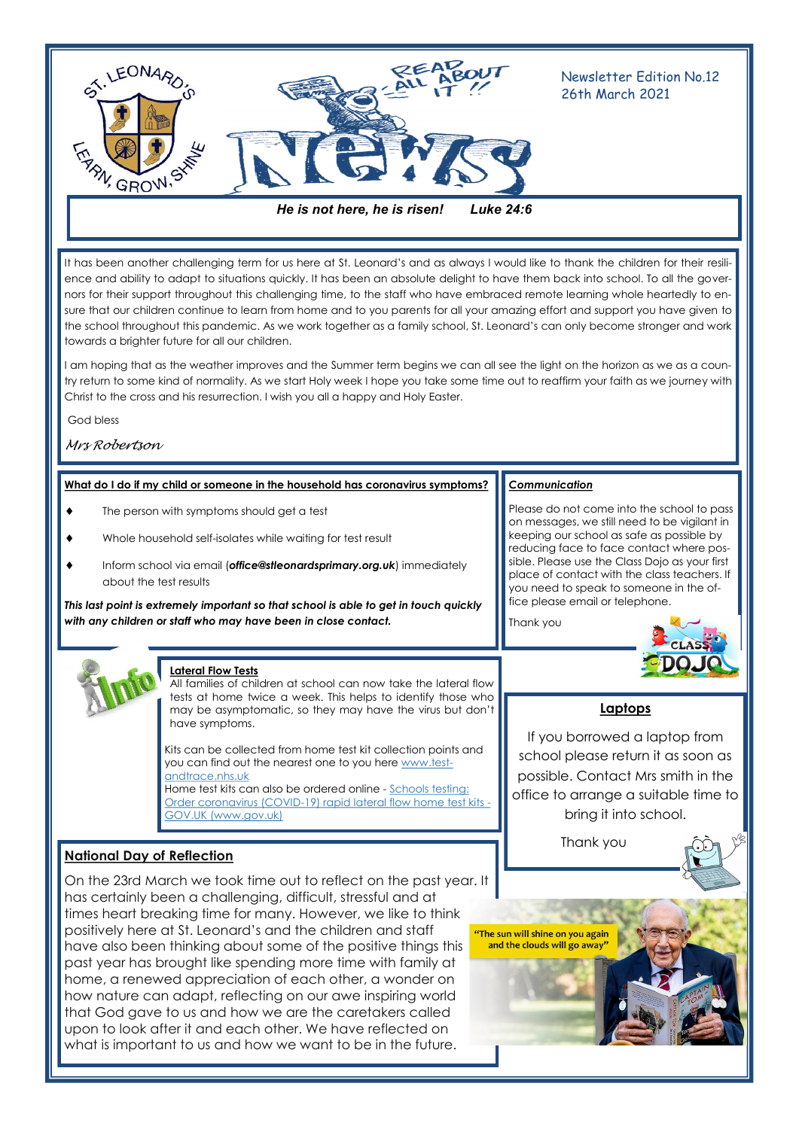

It has been another challenging term for us here at St. Leonard's and as always I would like to thank the children for their resilience and ability to adapt to situations quickly. It has been an absolute delight to have them back into school. To all the governors for their support throughout this challenging time, to the staff who have embraced remote learning whole heartedly to ensure that our children continue to learn from home and to you parents for all your amazing effort and support you have given to the school throughout this pandemic. As we work together as a family school, St. Leonard's can only become stronger and work towards a brighter future for all our children.

I am hoping that as the weather improves and the Summer term begins we can all see the light on the horizon as we as a country return to some kind of normality. As we start Holy week I hope you take some time out to reaffirm your faith as we journey with Christ to the cross and his resurrection. I wish you all a happy and Holy Easter.

God bless

## *Mrs Robertson*

### **What do I do if my child or someone in the household has coronavirus symptoms?** *Communication*

- The person with symptoms should get a test
- Whole household self-isolates while waiting for test result
- Inform school via email (*office@stleonardsprimary.org.uk*) immediately about the test results

*This last point is extremely important so that school is able to get in touch quickly with any children or staff who may have been in close contact.* 

Please do not come into the school to pass on messages, we still need to be vigilant in keeping our school as safe as possible by reducing face to face contact where possible. Please use the Class Dojo as your first place of contact with the class teachers. If you need to speak to someone in the of-

fice please email or telephone.

Thank you



**Lateral Flow Tests**

All families of children at school can now take the lateral flow tests at home twice a week. This helps to identify those who may be asymptomatic, so they may have the virus but don't have symptoms.

Kits can be collected from home test kit collection points and you can find out the nearest one to you here [www.test](http://www.test-andtrace.nhs.uk/)[andtrace.nhs.uk](http://www.test-andtrace.nhs.uk/) 

Home test kits can also be ordered online - [Schools testing:](https://www.gov.uk/order-coronavirus-rapid-lateral-flow-tests)  [Order coronavirus \(COVID-19\) rapid lateral flow home test kits -](https://www.gov.uk/order-coronavirus-rapid-lateral-flow-tests) [GOV.UK \(www.gov.uk\)](https://www.gov.uk/order-coronavirus-rapid-lateral-flow-tests)

## **National Day of Reflection**

On the 23rd March we took time out to reflect on the past year. It has certainly been a challenging, difficult, stressful and at times heart breaking time for many. However, we like to think positively here at St. Leonard's and the children and staff "The sun will shine on you again have also been thinking about some of the positive things this past year has brought like spending more time with family at home, a renewed appreciation of each other, a wonder on how nature can adapt, reflecting on our awe inspiring world that God gave to us and how we are the caretakers called upon to look after it and each other. We have reflected on what is important to us and how we want to be in the future.



If you borrowed a laptop from school please return it as soon as possible. Contact Mrs smith in the office to arrange a suitable time to bring it into school.

Thank you

and the clouds will go away"